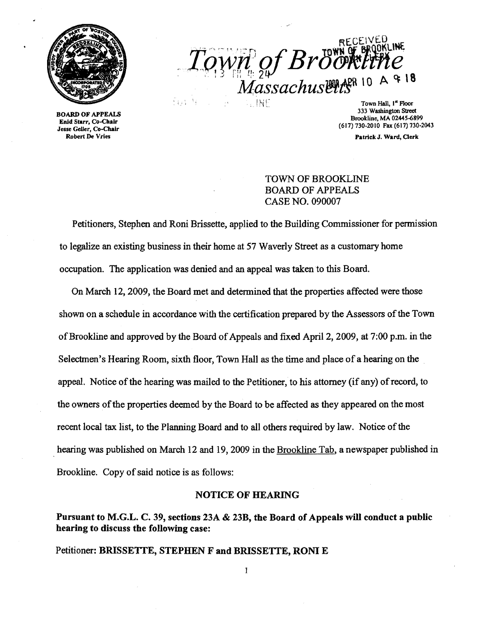

BOARD OF APPEALS Enid Starr, Co-Chalr Jesse Geller, Co-Chalr Robert De Vries

 $T_{QVM}$  of Bröckline  $Massachusetts$ <sup>R 10</sup> A  $4$ 8

Town Hall, I<sup>n</sup> Floor 333 Washington Street Brookline, MA 02445-6899 (617) 730-2010 Fax (617) 730-2043

Patrick J. Ward, Clerk

# TOWN OF BROOKLINE BOARD OF APPEALS CASE NO. 090007

Petitioners, Stephen and Roni Brissette, applied to the Building Commissioner for permission to legalize an existing business in their home at 57 Waverly Street as a customary home occupation. The application was denied and an appeal was taken to this Board.

On March 12, 2009, the Board met and determined that the properties affected were those shown on a schedule in accordance with the certification prepared by the Assessors of the Town of Brookline and approved by the Board of Appeals and fixed April 2, 2009, at 7:00 p.m. in the Selectmen's Hearing Room, sixth floor, Town Hall as the time and place of a hearing on the appeal. Notice of the hearing was mailed to the Petitioner, to his attorney (if any) of record, to the owners of the properties deemed by the Board to be affected as they appeared on the most recent local tax list, to the Planning Board and to all others required by law. Notice of the hearing was published on March 12 and 19, 2009 in the Brookline Tab, a newspaper published in Brookline. Copy of said notice is as follows:

#### NOTICE OF HEARING

Pursuant to M.G.L. C. 39, sections 23A & 23B, the Board of Appeals will conduct a public hearing to discuss the following case:

# Petitioner: BRISSETTE, STEPHEN F and BRISSETTE, RONI E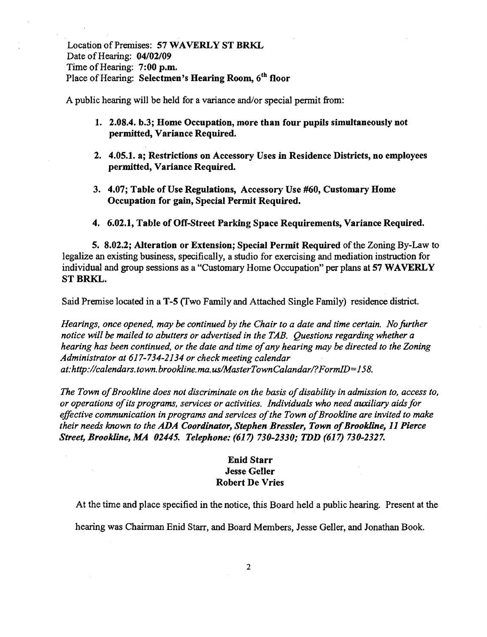Location of Premises: 57 WAVERLY ST BRKL Date of Hearing: 04/02/09 Time of Hearing: 7:00 p.m. Place of Hearing: Selectmen's Hearing Room, 6<sup>th</sup> floor

A public hearing will be held for a variance and/or special permit from:

- 1. 2.08.4. b.3; Home Occupation, more than four pupils simultaneously not permitted, Variance Required.
- 2. 4.05.1. a; Restrictions on Accessory Uses in Residence Districts, no employees permitted, Variance Required.
- 3. 4.07; Table of Use Regulations, Accessory Use #60, Customary Home Occupation for gain, Special Permit Required.
- 4. 6.02.1, Table of Off-Street Parking Space Requirements, Variance Required.

5. 8.02.2; Alteration or Extension; Special Permit Required of the Zoning By-Law to legalize an existing business, specifically, a studio for exercising and mediation instruction for individual and group sessions as a "Customary Home Occupation" per plans at 57 WAVERLY ST BRKL.

Said Premise located in a T-5 (Two Family and Attached Single Family) residence district.

*Hearings, once opened, may be continued by the Chair to a date and time certain. No further notice will be mailed to abutters or advertised in the TAB. Questions regarding whether a hearing has been continued, or the date and time ofany hearing may* be *directed to the Zoning Administrator at* 617-734-2134 *or check meeting calendar at:http://calendars.town.brookline.ma.us/MasterTownCalandar/?FormlD=158.* 

The Town of Brookline does not discriminate on the basis of disability in admission to, access to, *or operations ofits programs, services or activities. Individuals who need auxiliary aids for*  effective communication in programs and services of the Town of Brookline are invited to make *their needs known to the ADA Coordinator, Stephen Bressler, Town of Brookline, 11 Pierce Street, Brookline, MA 02445. Telephone:* (617) *730-2330; TDD* (617) *730-2327.* 

## Enid Starr Jesse Geller Robert De Vries

At the time and place specified in the notice, this Board held a public hearing. Present at the

hearing was Chairman Enid Starr, and Board Members, Jesse Geller, and Jonathan Book.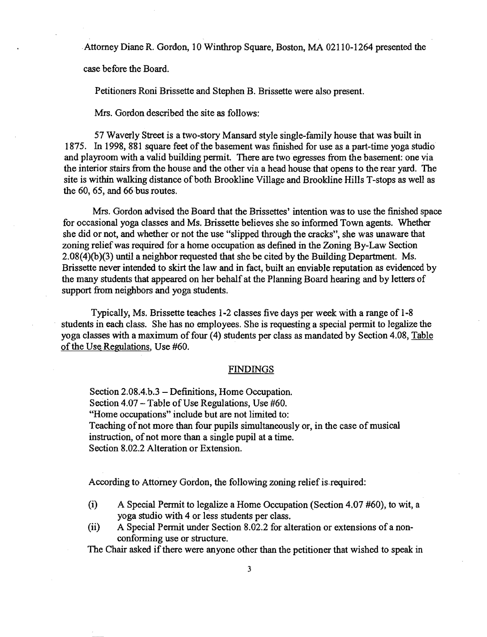· Attorney Diane R. Gordon, 10 Winthrop Square, Boston, MA 02110-1264 presented the

case before the Board.

Petitioners Roni Brissette and Stephen B. Brissette were also present.

Mrs. Gordon described the site as follows:

57 Waverly Street is a two-story Mansard style single-family house that was built in 1875. In 1998, 881 square feet of the basement was finished for use as a part-time yoga studio and playroom with a valid building permit. There are two egresses from the basement: one via the interior stairs from the house and the other via a head house that opens to the rear yard. The site is within walking distance of both Brookline Village and Brookline Hills T-stops as well as the 60, 65, and 66 bus routes.

Mrs. Gordon advised the Board that the Brissettes' intention was to use the finished space for occasional yoga classes and Ms. Brissette believes she so informed Town agents. Whether she did or not, and whether or not the use "slipped through the cracks", she was unaware that zoning reliefwas required for a home occupation as defined in the Zoning By-Law Section 2.08(4){b)(3) until a neighbor requested that she be cited by the Building Department. Ms. Brissette never intended to skirt the law and in fact, built an enviable reputation as evidenced by the many students that appeared on her behalf at the Planning Board hearing and by letters of support from neighbors and yoga students.

Typically, Ms. Brissette teaches 1-2 classes five days per week with a range of 1-8 students in each class. She has no employees. She is requesting a special permit to legalize the yoga classes with a maximum of four (4) students per class as mandated by Section 4.08, Table of the Use Regulations, Use #60.

#### FINDINGS

Section 2.08.4.b.3 - Definitions, Home Occupation. Section 4.07 – Table of Use Regulations, Use #60. "Home occupations" include but are not limited to: Teaching of not more than four pupils simultaneously or, in the case of musical instruction, of not more than a single pupil at a time. Section 8.02.2 Alteration or Extension.

According to Attorney Gordon, the following zoning relief is-required:

- (i) A Special Permit to legalize a Home Occupation (Section 4.07 #60), to wit, a yoga studio with 4 or less students per class.
- (ii) A Special Permit under Section 8.02.2 for alteration or extensions of a nonconforming use or structure.

The Chair asked if there were anyone other than the petitioner that wished to speak in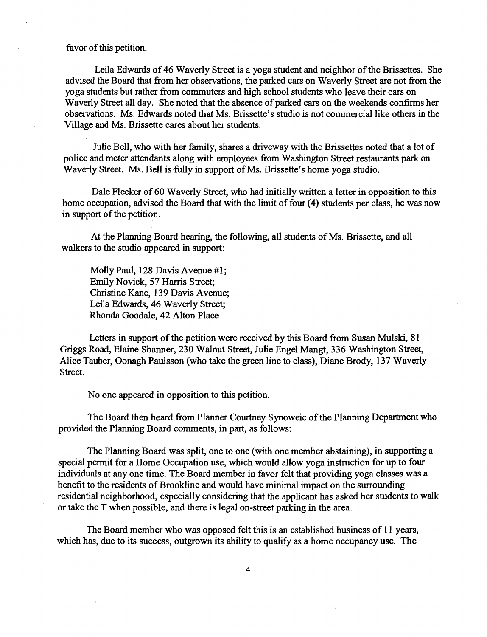favor of this petition.

Leila Edwards of 46 Waverly Street is a yoga student and neighbor of the Brissettes. She advised the Board that from her observations, the parked cars on Waverly Street are not from the yoga students but rather from commuters and high school students who leave their cars on Waverly Street all day. She noted that the absence of parked cars on the weekends confirms her observations. Ms. Edwards noted that Ms. Brissette's studio is not commercial like others in the Village and Ms. Brissette cares about her students.

Julie Bell, who with her family, shares a driveway with the Brissettes noted that a lot of police and meter attendants along with employees from Washington Street restaurants park on Waverly Street. Ms. Bell is fully in support of Ms. Brissette's home yoga studio.

Dale Flecker of 60 Waverly Street, who had initially written a letter in opposition to this home occupation, advised the Board that with the limit of four (4) students per class, he was now in support of the petition.

At the Planning Board hearing, the following, all students of Ms. Brissette, and all walkers to the studio. appeared in support:

Molly Paul, 128 Davis Avenue #1; Emily Novick, 57 Harris Street; Christine Kane, 139 Davis Avenue; Leila Edwards, 46 Waverly Street; Rhonda Goodale, 42 Alton Place

Letters in support of the petition were received by this Board from Susan Mulski, 81 Griggs Road, Elaine Shanner, 230 Walnut Street, Julie Engel Mangt, 336 Washington Street, Alice Tauber, Oonagh Paulsson (who take the green line to class), Diane Brody, 137 Waverly Street.

No one appeared in opposition to this petition.

The Board then heard from Planner Courtney Synoweic of the Planning Department who provided the Planning Board comments, in part, as follows:

The Planning Board was split, one to one (with one member abstaining), in supporting a special permit for a Home Occupation use, which would allow yoga instruction for up to four individuals at anyone time. The Board member in favor felt that providing yoga classes was a benefit to the residents of Brookline and would have minimal impact on the surrounding residential neighborhood, especially considering that the applicant has asked her students to walk or take the T when possible, and there is legal on-street parking in the area.

The Board member who was opposed felt this is an established business of 11 years, which has, due to its success, outgrown its ability to qualify as a home occupancy use. The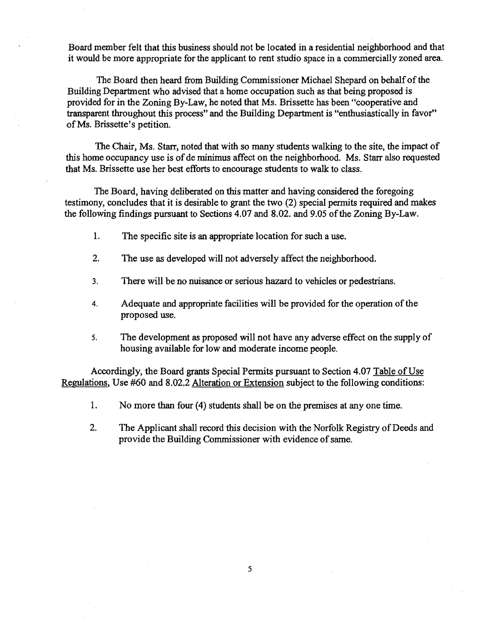Board member felt that this business should not be located in a residential neighborhood and that it would be more appropriate for the applicant to rent studio space in a commercially zoned area.

The Board then heard from Building Commissioner Michael Shepard on behalf of the Building Department who advised that a home occupation such as that being proposed is provided for in the Zoning By-Law, he noted that Ms. Brissette has been "cooperative and transparent throughout this process" and the Building Department is "enthusiastically in favor" ofMs. Brissette's petition.

The Chair, Ms. Starr, noted that with so many students walking to the site, the impact of this home occupancy use is of de minimus affect on the neighborhood. Ms. Starr also requested that Ms. Brissette use her best efforts to encourage students to walk to class.

The Board, having deliberated on this matter and having considered the foregoing testimony, concludes that it is desirable to grant the two (2) special permits required and makes the following findings pursuant to Sections 4.07 and 8.02. and 9.05 of the Zoning By-Law.

- 1. The specific site is an appropriate location for such a use.
- 2. The use as developed will not adversely affect the neighborhood.
- 3. There will be no nuisance or serious hazard to vehicles or pedestrians.
- 4. Adequate and appropriate facilities will be provided for the operation of the proposed use.
- 5. The development as proposed will not have any adverse effect on the supply of housing available for low and moderate income people.

Accordingly, the Board grants Special Permits pursuant to Section 4.07 Table of Use Regulations, Use #60 and 8.02.2 Alteration or Extension subject to the following conditions:

- 1. No more than four (4) students shall be on the premises at anyone time.
- 2. The Applicant shall record this decision with the Norfolk Registry of Deeds and provide the Building Commissioner with evidence of same.